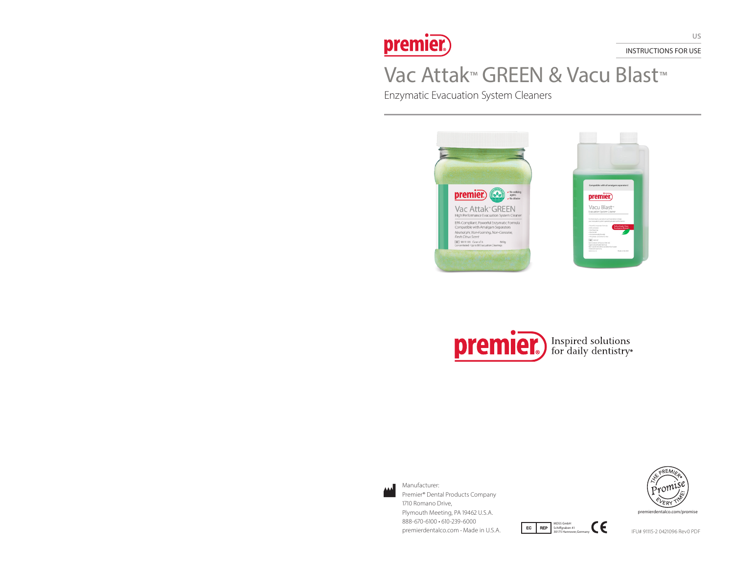

INSTRUCTIONS FOR USE

# Vac Attak™ GREEN & Vacu Blast™

Enzymatic Evacuation System Cleaners





MDSS GmbH Schiffgraben 41 30175 Hannover, Germany



Manufacturer: Premier® Dental Products Company 1710 Romano Drive, Plymouth Meeting, PA 19462 U.S.A. 888-670-6100 • 610-239-6000 Premierdentalco.com ∙ Made in U.S.A. **IFU# 91115-2 0421096 Rev0 PDF**<br>
Premierdentalco.com • Made in U.S.A. **IFU# 91115-2 0421096 Rev0 PDF** 



premierdentalco.com/promise